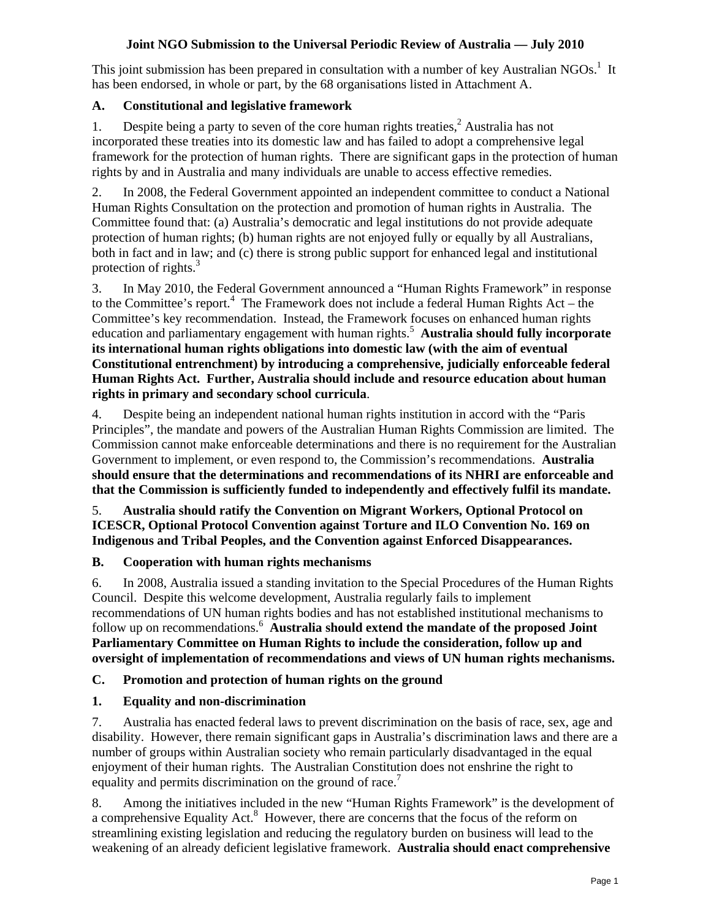### **Joint NGO Submission to the Universal Periodic Review of Australia — July 2010**

This joint submission has been prepared in consultation with a number of key Australian NGOs.<sup>1</sup> It has been endorsed, in whole or part, by the 68 organisations listed in Attachment A.

# **A. Constitutional and legislative framework**

1. Despite being a party to seven of the core human rights treaties, $<sup>2</sup>$  Australia has not</sup> incorporated these treaties into its domestic law and has failed to adopt a comprehensive legal framework for the protection of human rights. There are significant gaps in the protection of human rights by and in Australia and many individuals are unable to access effective remedies.

2. In 2008, the Federal Government appointed an independent committee to conduct a National Human Rights Consultation on the protection and promotion of human rights in Australia. The Committee found that: (a) Australia's democratic and legal institutions do not provide adequate protection of human rights; (b) human rights are not enjoyed fully or equally by all Australians, both in fact and in law; and (c) there is strong public support for enhanced legal and institutional protection of rights. $3$ 

3. In May 2010, the Federal Government announced a "Human Rights Framework" in response to the Committee's report.<sup>4</sup> The Framework does not include a federal Human Rights Act – the Committee's key recommendation. Instead, the Framework focuses on enhanced human rights education and parliamentary engagement with human rights.<sup>5</sup> Australia should fully incorporate **its international human rights obligations into domestic law (with the aim of eventual Constitutional entrenchment) by introducing a comprehensive, judicially enforceable federal Human Rights Act. Further, Australia should include and resource education about human rights in primary and secondary school curricula**.

4. Despite being an independent national human rights institution in accord with the "Paris Principles", the mandate and powers of the Australian Human Rights Commission are limited. The Commission cannot make enforceable determinations and there is no requirement for the Australian Government to implement, or even respond to, the Commission's recommendations. **Australia should ensure that the determinations and recommendations of its NHRI are enforceable and that the Commission is sufficiently funded to independently and effectively fulfil its mandate.** 

5. **Australia should ratify the Convention on Migrant Workers, Optional Protocol on ICESCR, Optional Protocol Convention against Torture and ILO Convention No. 169 on Indigenous and Tribal Peoples, and the Convention against Enforced Disappearances.** 

# **B. Cooperation with human rights mechanisms**

6. In 2008, Australia issued a standing invitation to the Special Procedures of the Human Rights Council. Despite this welcome development, Australia regularly fails to implement recommendations of UN human rights bodies and has not established institutional mechanisms to follow up on recommendations.<sup>6</sup> Australia should extend the mandate of the proposed Joint **Parliamentary Committee on Human Rights to include the consideration, follow up and oversight of implementation of recommendations and views of UN human rights mechanisms.** 

# **C. Promotion and protection of human rights on the ground**

# **1. Equality and non-discrimination**

7. Australia has enacted federal laws to prevent discrimination on the basis of race, sex, age and disability. However, there remain significant gaps in Australia's discrimination laws and there are a number of groups within Australian society who remain particularly disadvantaged in the equal enjoyment of their human rights. The Australian Constitution does not enshrine the right to equality and permits discrimination on the ground of race.<sup>7</sup>

8. Among the initiatives included in the new "Human Rights Framework" is the development of a comprehensive Equality Act.<sup>8</sup> However, there are concerns that the focus of the reform on streamlining existing legislation and reducing the regulatory burden on business will lead to the weakening of an already deficient legislative framework. **Australia should enact comprehensive**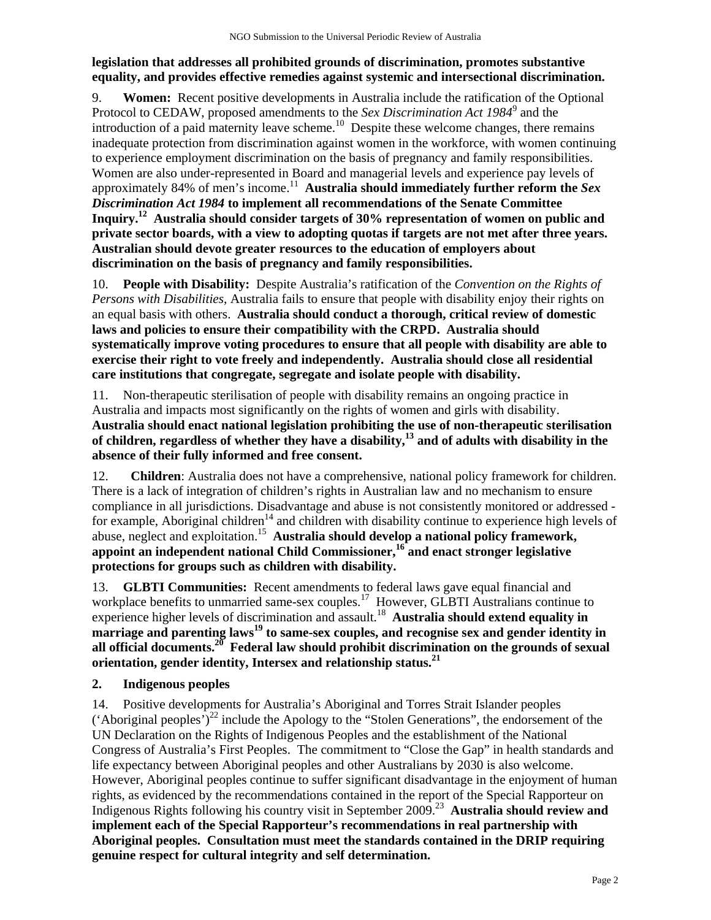# **legislation that addresses all prohibited grounds of discrimination, promotes substantive equality, and provides effective remedies against systemic and intersectional discrimination.**

9. **Women:** Recent positive developments in Australia include the ratification of the Optional Protocol to CEDAW, proposed amendments to the *Sex Discrimination Act 1984*<sup>9</sup> and the introduction of a paid maternity leave scheme.<sup>10</sup> Despite these welcome changes, there remains inadequate protection from discrimination against women in the workforce, with women continuing to experience employment discrimination on the basis of pregnancy and family responsibilities. Women are also under-represented in Board and managerial levels and experience pay levels of approximately 84% of men's income.<sup>11</sup> Australia should immediately further reform the *Sex Discrimination Act 1984* **to implement all recommendations of the Senate Committee Inquiry.12 Australia should consider targets of 30% representation of women on public and private sector boards, with a view to adopting quotas if targets are not met after three years. Australian should devote greater resources to the education of employers about discrimination on the basis of pregnancy and family responsibilities.** 

10. **People with Disability:** Despite Australia's ratification of the *Convention on the Rights of Persons with Disabilities*, Australia fails to ensure that people with disability enjoy their rights on an equal basis with others. **Australia should conduct a thorough, critical review of domestic laws and policies to ensure their compatibility with the CRPD. Australia should systematically improve voting procedures to ensure that all people with disability are able to exercise their right to vote freely and independently. Australia should close all residential care institutions that congregate, segregate and isolate people with disability.** 

11. Non-therapeutic sterilisation of people with disability remains an ongoing practice in Australia and impacts most significantly on the rights of women and girls with disability. **Australia should enact national legislation prohibiting the use of non-therapeutic sterilisation of children, regardless of whether they have a disability,13 and of adults with disability in the absence of their fully informed and free consent.** 

12. **Children**: Australia does not have a comprehensive, national policy framework for children. There is a lack of integration of children's rights in Australian law and no mechanism to ensure compliance in all jurisdictions. Disadvantage and abuse is not consistently monitored or addressed for example, Aboriginal children<sup>14</sup> and children with disability continue to experience high levels of abuse, neglect and exploitation.15 **Australia should develop a national policy framework, appoint an independent national Child Commissioner,16 and enact stronger legislative protections for groups such as children with disability.** 

13. **GLBTI Communities:** Recent amendments to federal laws gave equal financial and workplace benefits to unmarried same-sex couples.<sup>17</sup> However, GLBTI Australians continue to experience higher levels of discrimination and assault.<sup>18</sup> **Australia should extend equality in marriage and parenting laws19 to same-sex couples, and recognise sex and gender identity in all official documents.20 Federal law should prohibit discrimination on the grounds of sexual orientation, gender identity, Intersex and relationship status.21** 

# **2. Indigenous peoples**

14. Positive developments for Australia's Aboriginal and Torres Strait Islander peoples ('Aboriginal peoples')<sup>22</sup> include the Apology to the "Stolen Generations", the endorsement of the UN Declaration on the Rights of Indigenous Peoples and the establishment of the National Congress of Australia's First Peoples. The commitment to "Close the Gap" in health standards and life expectancy between Aboriginal peoples and other Australians by 2030 is also welcome. However, Aboriginal peoples continue to suffer significant disadvantage in the enjoyment of human rights, as evidenced by the recommendations contained in the report of the Special Rapporteur on Indigenous Rights following his country visit in September 2009.23 **Australia should review and implement each of the Special Rapporteur's recommendations in real partnership with Aboriginal peoples. Consultation must meet the standards contained in the DRIP requiring genuine respect for cultural integrity and self determination.**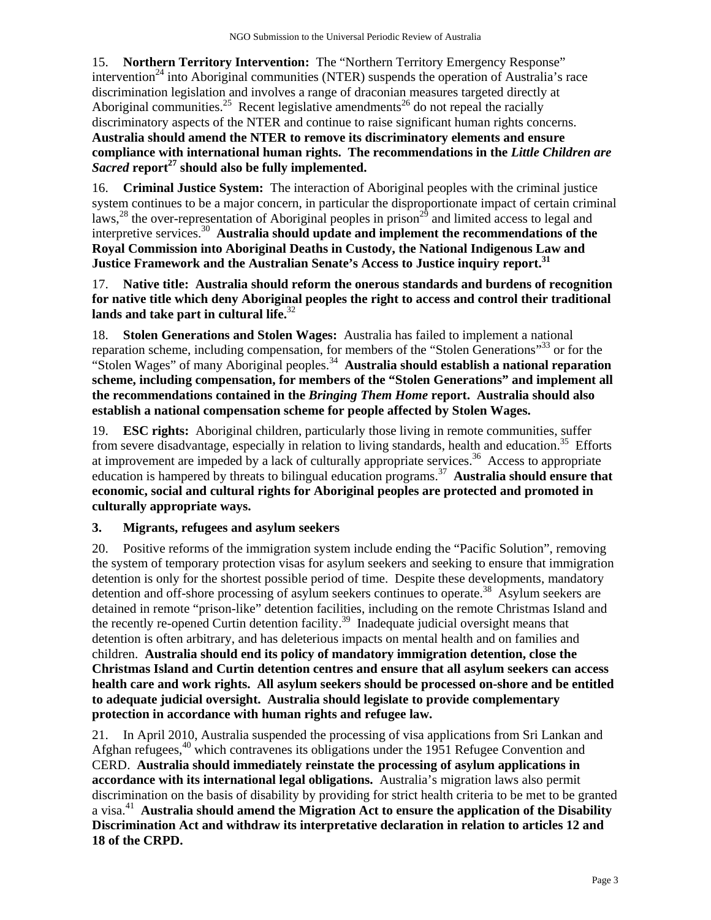15. **Northern Territory Intervention:** The "Northern Territory Emergency Response" intervention<sup>24</sup> into Aboriginal communities (NTER) suspends the operation of Australia's race discrimination legislation and involves a range of draconian measures targeted directly at Aboriginal communities.<sup>25</sup> Recent legislative amendments<sup>26</sup> do not repeal the racially discriminatory aspects of the NTER and continue to raise significant human rights concerns. **Australia should amend the NTER to remove its discriminatory elements and ensure compliance with international human rights. The recommendations in the** *Little Children are Sacred* **report27 should also be fully implemented.** 

16. **Criminal Justice System:** The interaction of Aboriginal peoples with the criminal justice system continues to be a major concern, in particular the disproportionate impact of certain criminal laws,<sup>28</sup> the over-representation of Aboriginal peoples in prison<sup>29</sup> and limited access to legal and interpretive services.30 **Australia should update and implement the recommendations of the Royal Commission into Aboriginal Deaths in Custody, the National Indigenous Law and Justice Framework and the Australian Senate's Access to Justice inquiry report.31**

17. **Native title: Australia should reform the onerous standards and burdens of recognition for native title which deny Aboriginal peoples the right to access and control their traditional lands and take part in cultural life.**<sup>32</sup>

18. **Stolen Generations and Stolen Wages:** Australia has failed to implement a national reparation scheme, including compensation, for members of the "Stolen Generations"<sup>33</sup> or for the "Stolen Wages" of many Aboriginal peoples.<sup>34</sup> **Australia should establish a national reparation scheme, including compensation, for members of the "Stolen Generations" and implement all the recommendations contained in the** *Bringing Them Home* **report. Australia should also establish a national compensation scheme for people affected by Stolen Wages.** 

19. **ESC rights:** Aboriginal children, particularly those living in remote communities, suffer from severe disadvantage, especially in relation to living standards, health and education.<sup>35</sup> Efforts at improvement are impeded by a lack of culturally appropriate services.<sup>36</sup> Access to appropriate education is hampered by threats to bilingual education programs.<sup>37</sup> **Australia should ensure that economic, social and cultural rights for Aboriginal peoples are protected and promoted in culturally appropriate ways.** 

#### **3. Migrants, refugees and asylum seekers**

20. Positive reforms of the immigration system include ending the "Pacific Solution", removing the system of temporary protection visas for asylum seekers and seeking to ensure that immigration detention is only for the shortest possible period of time. Despite these developments, mandatory detention and off-shore processing of asylum seekers continues to operate.<sup>38</sup> Asylum seekers are detained in remote "prison-like" detention facilities, including on the remote Christmas Island and the recently re-opened Curtin detention facility.<sup>39</sup> Inadequate judicial oversight means that detention is often arbitrary, and has deleterious impacts on mental health and on families and children. **Australia should end its policy of mandatory immigration detention, close the Christmas Island and Curtin detention centres and ensure that all asylum seekers can access health care and work rights. All asylum seekers should be processed on-shore and be entitled to adequate judicial oversight. Australia should legislate to provide complementary protection in accordance with human rights and refugee law.** 

21. In April 2010, Australia suspended the processing of visa applications from Sri Lankan and Afghan refugees,<sup>40</sup> which contravenes its obligations under the 1951 Refugee Convention and CERD. **Australia should immediately reinstate the processing of asylum applications in accordance with its international legal obligations.** Australia's migration laws also permit discrimination on the basis of disability by providing for strict health criteria to be met to be granted a visa.41 **Australia should amend the Migration Act to ensure the application of the Disability Discrimination Act and withdraw its interpretative declaration in relation to articles 12 and 18 of the CRPD.**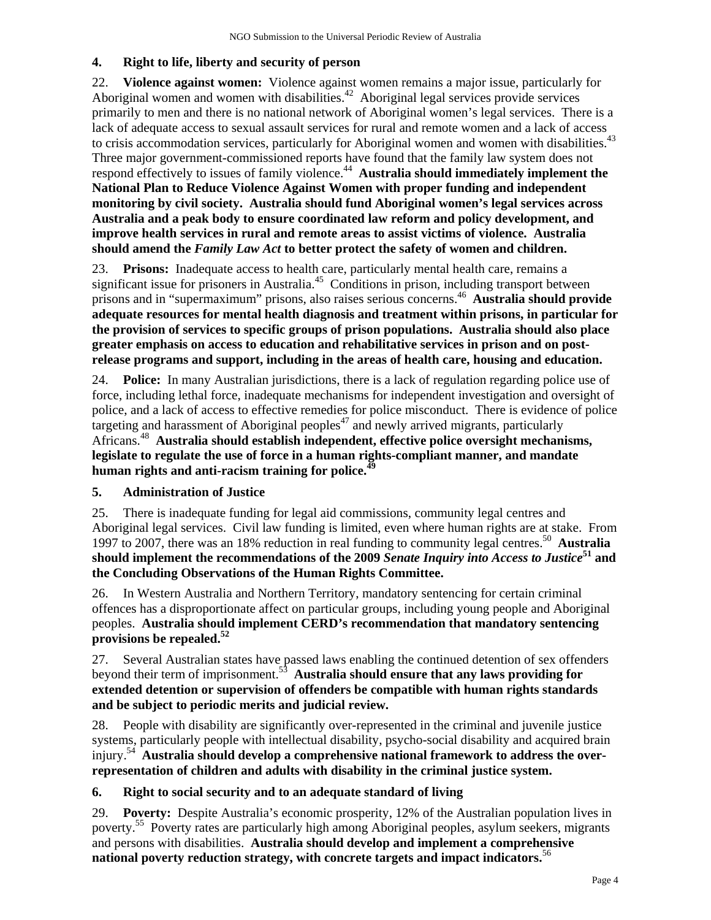#### **4. Right to life, liberty and security of person**

22. **Violence against women:** Violence against women remains a major issue, particularly for Aboriginal women and women with disabilities.<sup>42</sup> Aboriginal legal services provide services primarily to men and there is no national network of Aboriginal women's legal services. There is a lack of adequate access to sexual assault services for rural and remote women and a lack of access to crisis accommodation services, particularly for Aboriginal women and women with disabilities.<sup>43</sup> Three major government-commissioned reports have found that the family law system does not respond effectively to issues of family violence.<sup>44</sup> **Australia should immediately implement the National Plan to Reduce Violence Against Women with proper funding and independent monitoring by civil society. Australia should fund Aboriginal women's legal services across Australia and a peak body to ensure coordinated law reform and policy development, and improve health services in rural and remote areas to assist victims of violence. Australia should amend the** *Family Law Act* **to better protect the safety of women and children.**

23. **Prisons:** Inadequate access to health care, particularly mental health care, remains a significant issue for prisoners in Australia.<sup>45</sup> Conditions in prison, including transport between prisons and in "supermaximum" prisons, also raises serious concerns.46 **Australia should provide adequate resources for mental health diagnosis and treatment within prisons, in particular for the provision of services to specific groups of prison populations. Australia should also place greater emphasis on access to education and rehabilitative services in prison and on postrelease programs and support, including in the areas of health care, housing and education.** 

24. **Police:** In many Australian jurisdictions, there is a lack of regulation regarding police use of force, including lethal force, inadequate mechanisms for independent investigation and oversight of police, and a lack of access to effective remedies for police misconduct. There is evidence of police targeting and harassment of Aboriginal peoples<sup>47</sup> and newly arrived migrants, particularly Africans.48 **Australia should establish independent, effective police oversight mechanisms, legislate to regulate the use of force in a human rights-compliant manner, and mandate human rights and anti-racism training for police.<sup>49</sup>**

#### **5. Administration of Justice**

25. There is inadequate funding for legal aid commissions, community legal centres and Aboriginal legal services. Civil law funding is limited, even where human rights are at stake. From 1997 to 2007, there was an 18% reduction in real funding to community legal centres.50 **Australia should implement the recommendations of the 2009** *Senate Inquiry into Access to Justice***51 and the Concluding Observations of the Human Rights Committee.**

26. In Western Australia and Northern Territory, mandatory sentencing for certain criminal offences has a disproportionate affect on particular groups, including young people and Aboriginal peoples. **Australia should implement CERD's recommendation that mandatory sentencing provisions be repealed.52**

27. Several Australian states have passed laws enabling the continued detention of sex offenders beyond their term of imprisonment.53 **Australia should ensure that any laws providing for extended detention or supervision of offenders be compatible with human rights standards and be subject to periodic merits and judicial review.**

28. People with disability are significantly over-represented in the criminal and juvenile justice systems, particularly people with intellectual disability, psycho-social disability and acquired brain injury.54 **Australia should develop a comprehensive national framework to address the overrepresentation of children and adults with disability in the criminal justice system.** 

#### **6. Right to social security and to an adequate standard of living**

29. **Poverty:** Despite Australia's economic prosperity, 12% of the Australian population lives in poverty.55 Poverty rates are particularly high among Aboriginal peoples, asylum seekers, migrants and persons with disabilities. **Australia should develop and implement a comprehensive national poverty reduction strategy, with concrete targets and impact indicators.**56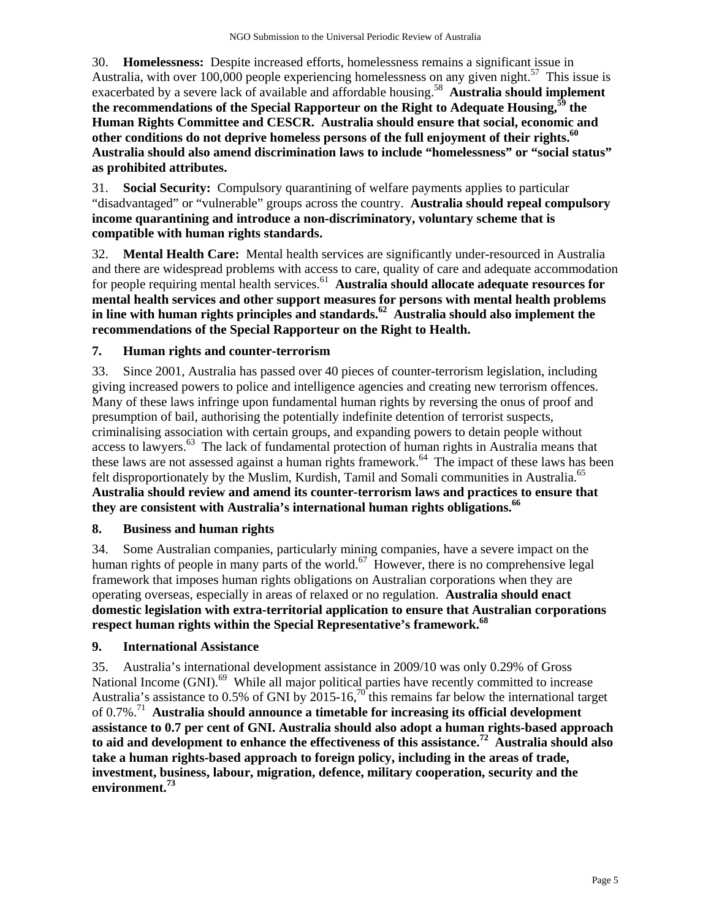30. **Homelessness:** Despite increased efforts, homelessness remains a significant issue in Australia, with over 100,000 people experiencing homelessness on any given night.<sup>57</sup> This issue is exacerbated by a severe lack of available and affordable housing.<sup>58</sup> **Australia should implement the recommendations of the Special Rapporteur on the Right to Adequate Housing,59 the Human Rights Committee and CESCR. Australia should ensure that social, economic and**  other conditions do not deprive homeless persons of the full enjoyment of their rights.<sup>60</sup> **Australia should also amend discrimination laws to include "homelessness" or "social status" as prohibited attributes.**

31. **Social Security:** Compulsory quarantining of welfare payments applies to particular "disadvantaged" or "vulnerable" groups across the country. **Australia should repeal compulsory income quarantining and introduce a non-discriminatory, voluntary scheme that is compatible with human rights standards.** 

32. **Mental Health Care:** Mental health services are significantly under-resourced in Australia and there are widespread problems with access to care, quality of care and adequate accommodation for people requiring mental health services.<sup>61</sup> **Australia should allocate adequate resources for mental health services and other support measures for persons with mental health problems**  in line with human rights principles and standards.<sup>62</sup> Australia should also implement the **recommendations of the Special Rapporteur on the Right to Health.** 

# **7. Human rights and counter-terrorism**

33. Since 2001, Australia has passed over 40 pieces of counter-terrorism legislation, including giving increased powers to police and intelligence agencies and creating new terrorism offences. Many of these laws infringe upon fundamental human rights by reversing the onus of proof and presumption of bail, authorising the potentially indefinite detention of terrorist suspects, criminalising association with certain groups, and expanding powers to detain people without access to lawyers.<sup>63</sup> The lack of fundamental protection of human rights in Australia means that these laws are not assessed against a human rights framework.<sup>64</sup> The impact of these laws has been felt disproportionately by the Muslim, Kurdish, Tamil and Somali communities in Australia.<sup>65</sup> **Australia should review and amend its counter-terrorism laws and practices to ensure that they are consistent with Australia's international human rights obligations.66** 

#### **8. Business and human rights**

34. Some Australian companies, particularly mining companies, have a severe impact on the human rights of people in many parts of the world.<sup>67</sup> However, there is no comprehensive legal framework that imposes human rights obligations on Australian corporations when they are operating overseas, especially in areas of relaxed or no regulation. **Australia should enact domestic legislation with extra-territorial application to ensure that Australian corporations respect human rights within the Special Representative's framework.68** 

#### **9. International Assistance**

35. Australia's international development assistance in 2009/10 was only 0.29% of Gross National Income (GNI).<sup>69</sup> While all major political parties have recently committed to increase Australia's assistance to 0.5% of GNI by  $2015$ -16,<sup>70</sup> this remains far below the international target of 0.7%.71 **Australia should announce a timetable for increasing its official development assistance to 0.7 per cent of GNI. Australia should also adopt a human rights-based approach to aid and development to enhance the effectiveness of this assistance.72 Australia should also take a human rights-based approach to foreign policy, including in the areas of trade, investment, business, labour, migration, defence, military cooperation, security and the environment.73**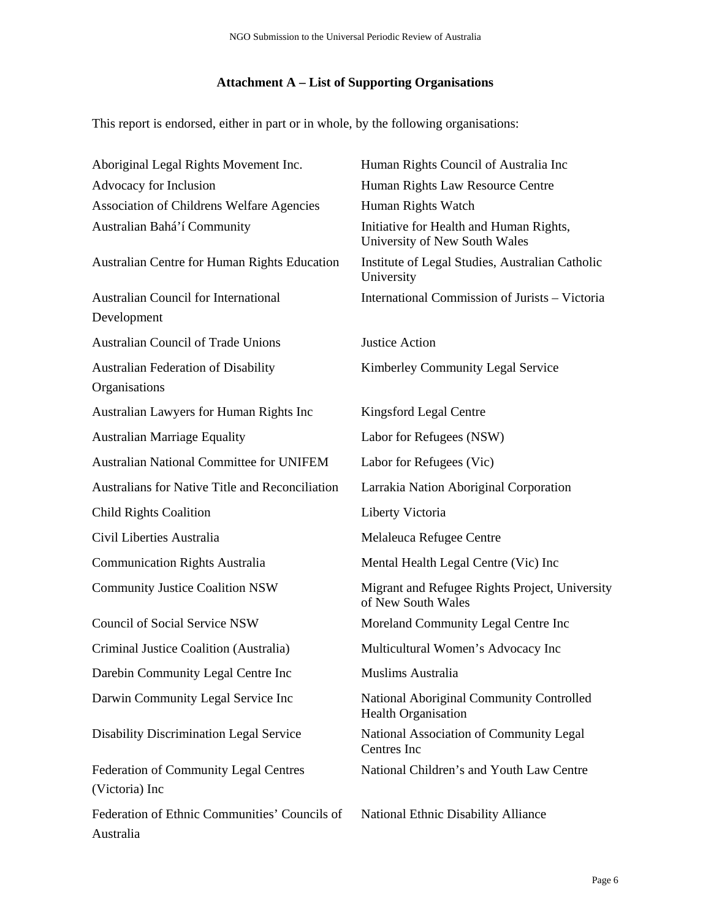# **Attachment A – List of Supporting Organisations**

This report is endorsed, either in part or in whole, by the following organisations:

| Aboriginal Legal Rights Movement Inc.                      | Human Rights Council of Australia Inc                                    |
|------------------------------------------------------------|--------------------------------------------------------------------------|
| Advocacy for Inclusion                                     | Human Rights Law Resource Centre                                         |
| Association of Childrens Welfare Agencies                  | Human Rights Watch                                                       |
| Australian Bahá'í Community                                | Initiative for Health and Human Rights,<br>University of New South Wales |
| Australian Centre for Human Rights Education               | Institute of Legal Studies, Australian Catholic<br>University            |
| <b>Australian Council for International</b><br>Development | International Commission of Jurists - Victoria                           |
| <b>Australian Council of Trade Unions</b>                  | <b>Justice Action</b>                                                    |
| Australian Federation of Disability<br>Organisations       | Kimberley Community Legal Service                                        |
| Australian Lawyers for Human Rights Inc                    | Kingsford Legal Centre                                                   |
| <b>Australian Marriage Equality</b>                        | Labor for Refugees (NSW)                                                 |
| <b>Australian National Committee for UNIFEM</b>            | Labor for Refugees (Vic)                                                 |
| Australians for Native Title and Reconciliation            | Larrakia Nation Aboriginal Corporation                                   |
| <b>Child Rights Coalition</b>                              | Liberty Victoria                                                         |
| Civil Liberties Australia                                  | Melaleuca Refugee Centre                                                 |
| <b>Communication Rights Australia</b>                      | Mental Health Legal Centre (Vic) Inc                                     |
| <b>Community Justice Coalition NSW</b>                     | Migrant and Refugee Rights Project, University<br>of New South Wales     |
| <b>Council of Social Service NSW</b>                       | Moreland Community Legal Centre Inc                                      |
| Criminal Justice Coalition (Australia)                     | Multicultural Women's Advocacy Inc                                       |
| Darebin Community Legal Centre Inc                         | Muslims Australia                                                        |
| Darwin Community Legal Service Inc                         | National Aboriginal Community Controlled<br><b>Health Organisation</b>   |
| <b>Disability Discrimination Legal Service</b>             | National Association of Community Legal<br>Centres Inc                   |
| Federation of Community Legal Centres<br>(Victoria) Inc    | National Children's and Youth Law Centre                                 |
| Federation of Ethnic Communities' Councils of<br>Australia | National Ethnic Disability Alliance                                      |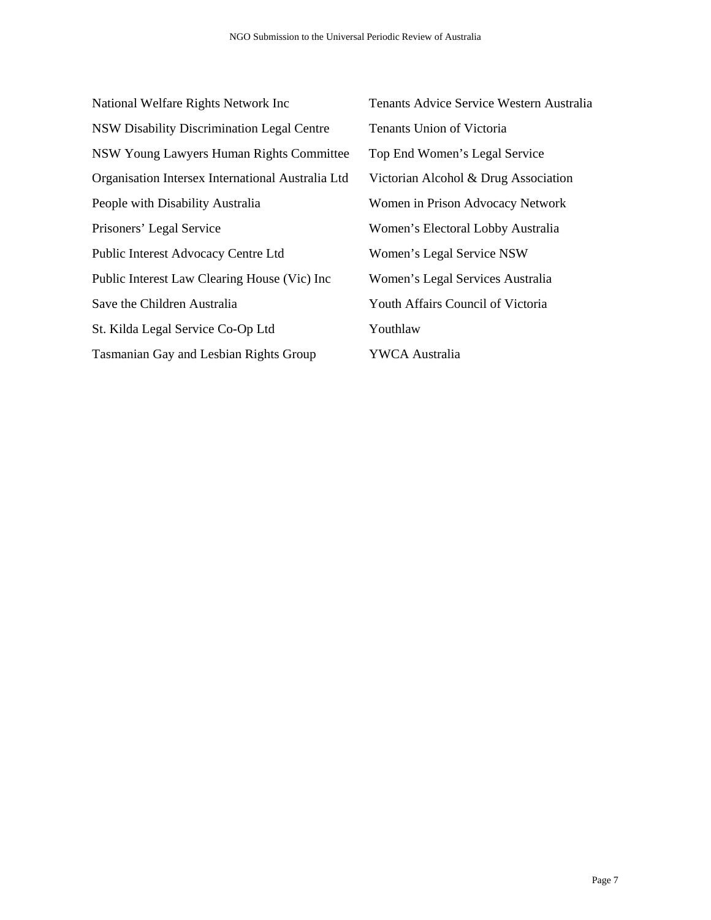| National Welfare Rights Network Inc               | Tenants Advice Se     |
|---------------------------------------------------|-----------------------|
| <b>NSW Disability Discrimination Legal Centre</b> | Tenants Union of      |
| NSW Young Lawyers Human Rights Committee          | Top End Women'        |
| Organisation Intersex International Australia Ltd | Victorian Alcohol     |
| People with Disability Australia                  | Women in Prison       |
| Prisoners' Legal Service                          | Women's Electora      |
| Public Interest Advocacy Centre Ltd               | Women's Legal S       |
| Public Interest Law Clearing House (Vic) Inc      | Women's Legal S       |
| Save the Children Australia                       | Youth Affairs Cou     |
| St. Kilda Legal Service Co-Op Ltd                 | Youthlaw              |
| Tasmanian Gay and Lesbian Rights Group            | <b>YWCA Australia</b> |

Tenants Advice Service Western Australia Tenants Union of Victoria Top End Women's Legal Service Victorian Alcohol & Drug Association Women in Prison Advocacy Network Women's Electoral Lobby Australia Women's Legal Service NSW Women's Legal Services Australia Youth Affairs Council of Victoria Youthlaw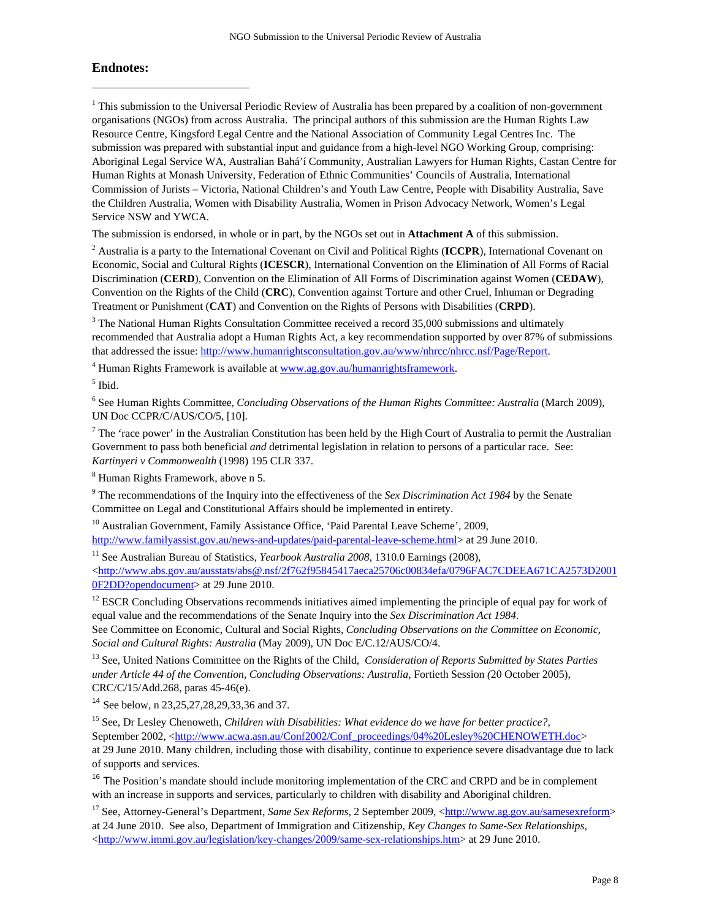#### **Endnotes:**

 $\overline{a}$ 

<sup>1</sup> This submission to the Universal Periodic Review of Australia has been prepared by a coalition of non-government organisations (NGOs) from across Australia. The principal authors of this submission are the Human Rights Law Resource Centre, Kingsford Legal Centre and the National Association of Community Legal Centres Inc. The submission was prepared with substantial input and guidance from a high-level NGO Working Group, comprising: Aboriginal Legal Service WA, Australian Bahá'í Community, Australian Lawyers for Human Rights, Castan Centre for Human Rights at Monash University, Federation of Ethnic Communities' Councils of Australia, International Commission of Jurists – Victoria, National Children's and Youth Law Centre, People with Disability Australia, Save the Children Australia, Women with Disability Australia, Women in Prison Advocacy Network, Women's Legal Service NSW and YWCA.

The submission is endorsed, in whole or in part, by the NGOs set out in **Attachment A** of this submission.

2 Australia is a party to the International Covenant on Civil and Political Rights (**ICCPR**), International Covenant on Economic, Social and Cultural Rights (**ICESCR**), International Convention on the Elimination of All Forms of Racial Discrimination (**CERD**), Convention on the Elimination of All Forms of Discrimination against Women (**CEDAW**), Convention on the Rights of the Child (**CRC**), Convention against Torture and other Cruel, Inhuman or Degrading Treatment or Punishment (**CAT**) and Convention on the Rights of Persons with Disabilities (**CRPD**).

 $3$  The National Human Rights Consultation Committee received a record 35,000 submissions and ultimately recommended that Australia adopt a Human Rights Act, a key recommendation supported by over 87% of submissions that addressed the issue: http://www.humanrightsconsultation.gov.au/www/nhrcc/nhrcc.nsf/Page/Report.

<sup>4</sup> Human Rights Framework is available at www.ag.gov.au/humanrightsframework.

5 Ibid.

6 See Human Rights Committee, *Concluding Observations of the Human Rights Committee: Australia* (March 2009), UN Doc CCPR/C/AUS/CO/5, [10].

<sup>7</sup> The 'race power' in the Australian Constitution has been held by the High Court of Australia to permit the Australian Government to pass both beneficial *and* detrimental legislation in relation to persons of a particular race. See: *Kartinyeri v Commonwealth* (1998) 195 CLR 337.

8 Human Rights Framework, above n 5.

<sup>9</sup> The recommendations of the Inquiry into the effectiveness of the *Sex Discrimination Act 1984* by the Senate Committee on Legal and Constitutional Affairs should be implemented in entirety.

<sup>10</sup> Australian Government, Family Assistance Office, 'Paid Parental Leave Scheme', 2009, http://www.familyassist.gov.au/news-and-updates/paid-parental-leave-scheme.html> at 29 June 2010.

<sup>11</sup> See Australian Bureau of Statistics, *Yearbook Australia 2008*, 1310.0 Earnings (2008), <http://www.abs.gov.au/ausstats/abs@.nsf/2f762f95845417aeca25706c00834efa/0796FAC7CDEEA671CA2573D2001 0F2DD?opendocument> at 29 June 2010.

 $12$  ESCR Concluding Observations recommends initiatives aimed implementing the principle of equal pay for work of equal value and the recommendations of the Senate Inquiry into the *Sex Discrimination Act 1984*.

See Committee on Economic, Cultural and Social Rights, *Concluding Observations on the Committee on Economic, Social and Cultural Rights: Australia* (May 2009), UN Doc E/C.12/AUS/CO/4.

13 See, United Nations Committee on the Rights of the Child, *Consideration of Reports Submitted by States Parties under Article 44 of the Convention, Concluding Observations: Australia,* Fortieth Session *(*20 October 2005), CRC/C/15/Add.268, paras 45-46(e).

<sup>14</sup> See below, n 23,25,27,28,29,33,36 and 37.

15 See, Dr Lesley Chenoweth, *Children with Disabilities: What evidence do we have for better practice?*, September 2002, <http://www.acwa.asn.au/Conf2002/Conf\_proceedings/04%20Lesley%20CHENOWETH.doc>

at 29 June 2010. Many children, including those with disability, continue to experience severe disadvantage due to lack of supports and services.

<sup>16</sup> The Position's mandate should include monitoring implementation of the CRC and CRPD and be in complement with an increase in supports and services, particularly to children with disability and Aboriginal children.

<sup>17</sup> See, Attorney-General's Department, *Same Sex Reforms*, 2 September 2009, <http://www.ag.gov.au/samesexreform> at 24 June 2010. See also, Department of Immigration and Citizenship, *Key Changes to Same-Sex Relationships*, <http://www.immi.gov.au/legislation/key-changes/2009/same-sex-relationships.htm> at 29 June 2010.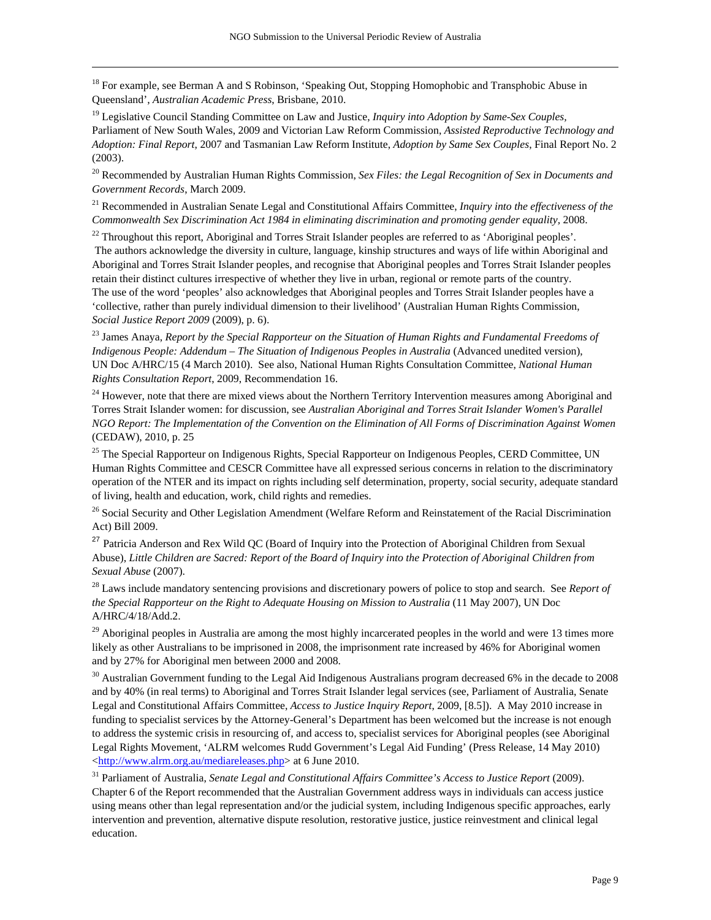<sup>18</sup> For example, see Berman A and S Robinson, 'Speaking Out, Stopping Homophobic and Transphobic Abuse in Queensland', *Australian Academic Press*, Brisbane, 2010.

 $\overline{a}$ 

19 Legislative Council Standing Committee on Law and Justice, *Inquiry into Adoption by Same-Sex Couples,*  Parliament of New South Wales, 2009 and Victorian Law Reform Commission, *Assisted Reproductive Technology and Adoption: Final Report*, 2007 and Tasmanian Law Reform Institute, *Adoption by Same Sex Couples*, Final Report No. 2 (2003).

20 Recommended by Australian Human Rights Commission, *Sex Files: the Legal Recognition of Sex in Documents and Government Records*, March 2009.

21 Recommended in Australian Senate Legal and Constitutional Affairs Committee, *Inquiry into the effectiveness of the Commonwealth Sex Discrimination Act 1984 in eliminating discrimination and promoting gender equality,* 2008.

 $^{22}$  Throughout this report, Aboriginal and Torres Strait Islander peoples are referred to as 'Aboriginal peoples'.

 The authors acknowledge the diversity in culture, language, kinship structures and ways of life within Aboriginal and Aboriginal and Torres Strait Islander peoples, and recognise that Aboriginal peoples and Torres Strait Islander peoples retain their distinct cultures irrespective of whether they live in urban, regional or remote parts of the country. The use of the word 'peoples' also acknowledges that Aboriginal peoples and Torres Strait Islander peoples have a 'collective, rather than purely individual dimension to their livelihood' (Australian Human Rights Commission, *Social Justice Report 2009* (2009), p. 6).

23 James Anaya, *Report by the Special Rapporteur on the Situation of Human Rights and Fundamental Freedoms of Indigenous People: Addendum – The Situation of Indigenous Peoples in Australia (Advanced unedited version),* UN Doc A/HRC/15 (4 March 2010). See also, National Human Rights Consultation Committee, *National Human Rights Consultation Report*, 2009, Recommendation 16.

 $24$  However, note that there are mixed views about the Northern Territory Intervention measures among Aboriginal and Torres Strait Islander women: for discussion, see *Australian Aboriginal and Torres Strait Islander Women's Parallel NGO Report: The Implementation of the Convention on the Elimination of All Forms of Discrimination Against Women* (CEDAW), 2010, p. 25

<sup>25</sup> The Special Rapporteur on Indigenous Rights, Special Rapporteur on Indigenous Peoples, CERD Committee, UN Human Rights Committee and CESCR Committee have all expressed serious concerns in relation to the discriminatory operation of the NTER and its impact on rights including self determination, property, social security, adequate standard of living, health and education, work, child rights and remedies.

<sup>26</sup> Social Security and Other Legislation Amendment (Welfare Reform and Reinstatement of the Racial Discrimination Act) Bill 2009.

<sup>27</sup> Patricia Anderson and Rex Wild OC (Board of Inquiry into the Protection of Aboriginal Children from Sexual Abuse), *Little Children are Sacred: Report of the Board of Inquiry into the Protection of Aboriginal Children from Sexual Abuse* (2007).

28 Laws include mandatory sentencing provisions and discretionary powers of police to stop and search. See *Report of the Special Rapporteur on the Right to Adequate Housing on Mission to Australia* (11 May 2007), UN Doc A/HRC/4/18/Add.2.

 $29$  Aboriginal peoples in Australia are among the most highly incarcerated peoples in the world and were 13 times more likely as other Australians to be imprisoned in 2008, the imprisonment rate increased by 46% for Aboriginal women and by 27% for Aboriginal men between 2000 and 2008.

 $30$  Australian Government funding to the Legal Aid Indigenous Australians program decreased 6% in the decade to 2008 and by 40% (in real terms) to Aboriginal and Torres Strait Islander legal services (see, Parliament of Australia, Senate Legal and Constitutional Affairs Committee, *Access to Justice Inquiry Report*, 2009, [8.5]). A May 2010 increase in funding to specialist services by the Attorney-General's Department has been welcomed but the increase is not enough to address the systemic crisis in resourcing of, and access to, specialist services for Aboriginal peoples (see Aboriginal Legal Rights Movement, 'ALRM welcomes Rudd Government's Legal Aid Funding' (Press Release, 14 May 2010) <http://www.alrm.org.au/mediareleases.php> at 6 June 2010.

31 Parliament of Australia, *Senate Legal and Constitutional Affairs Committee's Access to Justice Report* (2009). Chapter 6 of the Report recommended that the Australian Government address ways in individuals can access justice using means other than legal representation and/or the judicial system, including Indigenous specific approaches, early intervention and prevention, alternative dispute resolution, restorative justice, justice reinvestment and clinical legal education.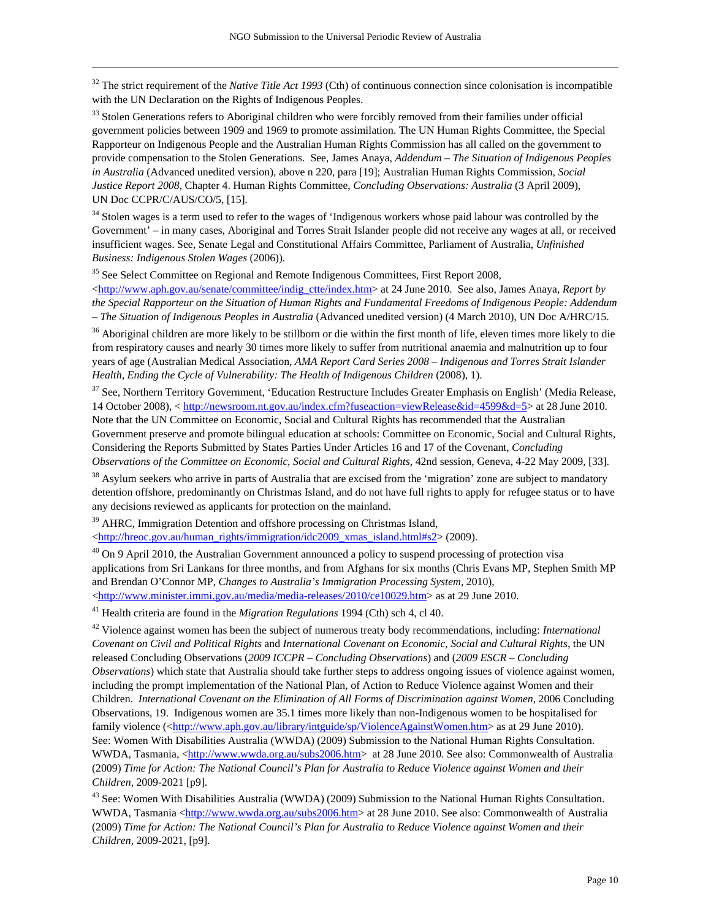<sup>32</sup> The strict requirement of the *Native Title Act 1993* (Cth) of continuous connection since colonisation is incompatible with the UN Declaration on the Rights of Indigenous Peoples.

<sup>33</sup> Stolen Generations refers to Aboriginal children who were forcibly removed from their families under official government policies between 1909 and 1969 to promote assimilation. The UN Human Rights Committee, the Special Rapporteur on Indigenous People and the Australian Human Rights Commission has all called on the government to provide compensation to the Stolen Generations. See, James Anaya, *Addendum – The Situation of Indigenous Peoples in Australia* (Advanced unedited version), above n 220, para [19]; Australian Human Rights Commission, *Social Justice Report 2008*, Chapter 4. Human Rights Committee, *Concluding Observations: Australia* (3 April 2009), UN Doc CCPR/C/AUS/CO/5, [15].

<sup>34</sup> Stolen wages is a term used to refer to the wages of 'Indigenous workers whose paid labour was controlled by the Government' – in many cases, Aboriginal and Torres Strait Islander people did not receive any wages at all, or received insufficient wages. See, Senate Legal and Constitutional Affairs Committee, Parliament of Australia, *Unfinished Business: Indigenous Stolen Wages* (2006)).

<sup>35</sup> See Select Committee on Regional and Remote Indigenous Committees, First Report 2008,

 $\overline{a}$ 

 $\lt$ http://www.aph.gov.au/senate/committee/indig\_ctte/index.htm> at 24 June 2010. See also, James Anaya, *Report by the Special Rapporteur on the Situation of Human Rights and Fundamental Freedoms of Indigenous People: Addendum – The Situation of Indigenous Peoples in Australia* (Advanced unedited version) (4 March 2010), UN Doc A/HRC/15.

<sup>36</sup> Aboriginal children are more likely to be stillborn or die within the first month of life, eleven times more likely to die from respiratory causes and nearly 30 times more likely to suffer from nutritional anaemia and malnutrition up to four years of age (Australian Medical Association, *AMA Report Card Series 2008 – Indigenous and Torres Strait Islander Health, Ending the Cycle of Vulnerability: The Health of Indigenous Children* (2008), 1).

<sup>37</sup> See, Northern Territory Government, 'Education Restructure Includes Greater Emphasis on English' (Media Release, 14 October 2008), < http://newsroom.nt.gov.au/index.cfm?fuseaction=viewRelease&id=4599&d=5> at 28 June 2010. Note that the UN Committee on Economic, Social and Cultural Rights has recommended that the Australian Government preserve and promote bilingual education at schools: Committee on Economic, Social and Cultural Rights, Considering the Reports Submitted by States Parties Under Articles 16 and 17 of the Covenant, *Concluding Observations of the Committee on Economic, Social and Cultural Rights*, 42nd session, Geneva, 4-22 May 2009, [33].

<sup>38</sup> Asylum seekers who arrive in parts of Australia that are excised from the 'migration' zone are subject to mandatory detention offshore, predominantly on Christmas Island, and do not have full rights to apply for refugee status or to have any decisions reviewed as applicants for protection on the mainland.

<sup>39</sup> AHRC, Immigration Detention and offshore processing on Christmas Island,

<http://hreoc.gov.au/human\_rights/immigration/idc2009\_xmas\_island.html#s2> (2009).

 $40$  On 9 April 2010, the Australian Government announced a policy to suspend processing of protection visa applications from Sri Lankans for three months, and from Afghans for six months (Chris Evans MP, Stephen Smith MP and Brendan O'Connor MP, *Changes to Australia's Immigration Processing System*, 2010), <http://www.minister.immi.gov.au/media/media-releases/2010/ce10029.htm> as at 29 June 2010.

41 Health criteria are found in the *Migration Regulations* 1994 (Cth) sch 4, cl 40.

42 Violence against women has been the subject of numerous treaty body recommendations, including: *International Covenant on Civil and Political Rights* and *International Covenant on Economic, Social and Cultural Rights*, the UN released Concluding Observations (*2009 ICCPR – Concluding Observations*) and (*2009 ESCR – Concluding Observations*) which state that Australia should take further steps to address ongoing issues of violence against women, including the prompt implementation of the National Plan, of Action to Reduce Violence against Women and their Children. *International Covenant on the Elimination of All Forms of Discrimination against Women*, 2006 Concluding Observations, 19. Indigenous women are 35.1 times more likely than non-Indigenous women to be hospitalised for family violence (<http://www.aph.gov.au/library/intguide/sp/ViolenceAgainstWomen.htm> as at 29 June 2010). See: Women With Disabilities Australia (WWDA) (2009) Submission to the National Human Rights Consultation. WWDA, Tasmania, <http://www.wwda.org.au/subs2006.htm> at 28 June 2010. See also: Commonwealth of Australia (2009) *Time for Action: The National Council's Plan for Australia to Reduce Violence against Women and their Children,* 2009-2021 [p9].

<sup>43</sup> See: Women With Disabilities Australia (WWDA) (2009) Submission to the National Human Rights Consultation. WWDA, Tasmania <http://www.wwda.org.au/subs2006.htm> at 28 June 2010. See also: Commonwealth of Australia (2009) *Time for Action: The National Council's Plan for Australia to Reduce Violence against Women and their Children,* 2009-2021, [p9].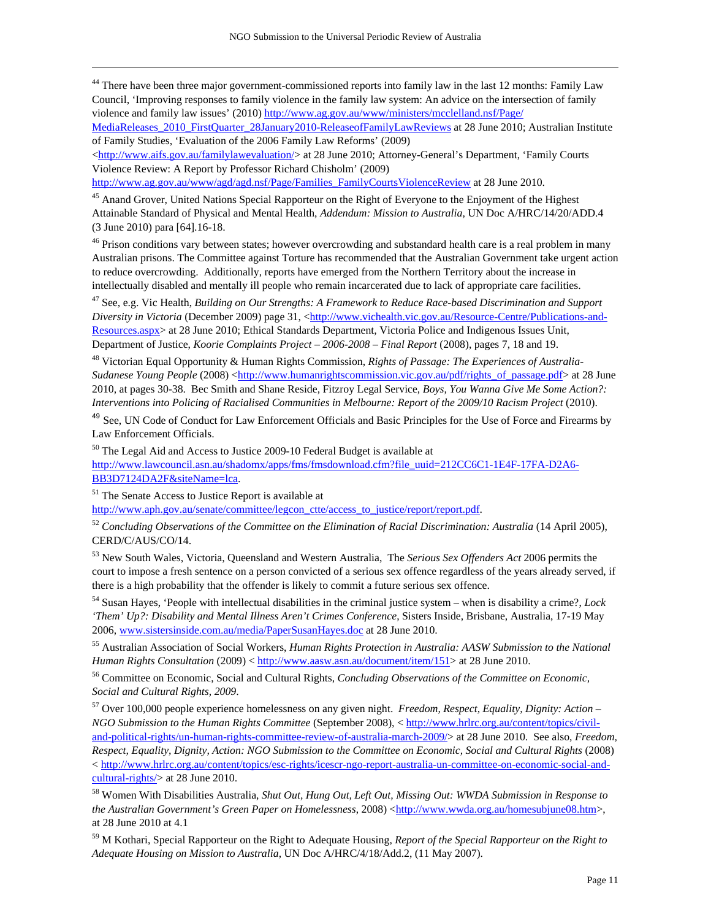<sup>44</sup> There have been three major government-commissioned reports into family law in the last 12 months: Family Law Council, 'Improving responses to family violence in the family law system: An advice on the intersection of family violence and family law issues' (2010) http://www.ag.gov.au/www/ministers/mcclelland.nsf/Page/ MediaReleases\_2010\_FirstQuarter\_28January2010-ReleaseofFamilyLawReviews at 28 June 2010; Australian Institute

of Family Studies, 'Evaluation of the 2006 Family Law Reforms' (2009) <http://www.aifs.gov.au/familylawevaluation/> at 28 June 2010; Attorney-General's Department, 'Family Courts

Violence Review: A Report by Professor Richard Chisholm' (2009)

http://www.ag.gov.au/www/agd/agd.nsf/Page/Families\_FamilyCourtsViolenceReview at 28 June 2010.

<sup>45</sup> Anand Grover, United Nations Special Rapporteur on the Right of Everyone to the Enjoyment of the Highest Attainable Standard of Physical and Mental Health, *Addendum: Mission to Australia*, UN Doc A/HRC/14/20/ADD.4 (3 June 2010) para [64].16-18.

<sup>46</sup> Prison conditions vary between states; however overcrowding and substandard health care is a real problem in many Australian prisons. The Committee against Torture has recommended that the Australian Government take urgent action to reduce overcrowding. Additionally, reports have emerged from the Northern Territory about the increase in intellectually disabled and mentally ill people who remain incarcerated due to lack of appropriate care facilities.

47 See, e.g. Vic Health, *Building on Our Strengths: A Framework to Reduce Race-based Discrimination and Support Diversity in Victoria* (December 2009) page 31, <http://www.vichealth.vic.gov.au/Resource-Centre/Publications-and-Resources.aspx> at 28 June 2010; Ethical Standards Department, Victoria Police and Indigenous Issues Unit, Department of Justice, *Koorie Complaints Project – 2006-2008 – Final Report* (2008), pages 7, 18 and 19.

48 Victorian Equal Opportunity & Human Rights Commission, *Rights of Passage: The Experiences of Australia-Sudanese Young People* (2008) <http://www.humanrightscommission.vic.gov.au/pdf/rights\_of\_passage.pdf> at 28 June 2010, at pages 30-38. Bec Smith and Shane Reside, Fitzroy Legal Service, *Boys, You Wanna Give Me Some Action?: Interventions into Policing of Racialised Communities in Melbourne: Report of the 2009/10 Racism Project* (2010).

<sup>49</sup> See, UN Code of Conduct for Law Enforcement Officials and Basic Principles for the Use of Force and Firearms by Law Enforcement Officials.

50 The Legal Aid and Access to Justice 2009-10 Federal Budget is available at

http://www.lawcouncil.asn.au/shadomx/apps/fms/fmsdownload.cfm?file\_uuid=212CC6C1-1E4F-17FA-D2A6-BB3D7124DA2F&siteName=lca.

51 The Senate Access to Justice Report is available at

 $\overline{a}$ 

http://www.aph.gov.au/senate/committee/legcon\_ctte/access\_to\_justice/report/report.pdf.

<sup>52</sup> *Concluding Observations of the Committee on the Elimination of Racial Discrimination: Australia* (14 April 2005), CERD/C/AUS/CO/14.

53 New South Wales, Victoria, Queensland and Western Australia, The *Serious Sex Offenders Act* 2006 permits the court to impose a fresh sentence on a person convicted of a serious sex offence regardless of the years already served, if there is a high probability that the offender is likely to commit a future serious sex offence.

54 Susan Hayes, 'People with intellectual disabilities in the criminal justice system – when is disability a crime?, *Lock 'Them' Up?: Disability and Mental Illness Aren't Crimes Conference*, Sisters Inside, Brisbane, Australia, 17-19 May 2006, www.sistersinside.com.au/media/PaperSusanHayes.doc at 28 June 2010.

55 Australian Association of Social Workers, *Human Rights Protection in Australia: AASW Submission to the National Human Rights Consultation* (2009) < http://www.aasw.asn.au/document/item/151> at 28 June 2010.

56 Committee on Economic, Social and Cultural Rights, *Concluding Observations of the Committee on Economic, Social and Cultural Rights, 2009*.

57 Over 100,000 people experience homelessness on any given night. *Freedom, Respect, Equality, Dignity: Action – NGO Submission to the Human Rights Committee* (September 2008), < http://www.hrlrc.org.au/content/topics/civiland-political-rights/un-human-rights-committee-review-of-australia-march-2009/> at 28 June 2010. See also, *Freedom, Respect, Equality, Dignity, Action: NGO Submission to the Committee on Economic, Social and Cultural Rights* (2008) < http://www.hrlrc.org.au/content/topics/esc-rights/icescr-ngo-report-australia-un-committee-on-economic-social-andcultural-rights/> at 28 June 2010.

58 Women With Disabilities Australia, *Shut Out, Hung Out, Left Out, Missing Out: WWDA Submission in Response to the Australian Government's Green Paper on Homelessness*, 2008) <http://www.wwda.org.au/homesubjune08.htm>, at 28 June 2010 at 4.1

59 M Kothari, Special Rapporteur on the Right to Adequate Housing, *Report of the Special Rapporteur on the Right to Adequate Housing on Mission to Australia*, UN Doc A/HRC/4/18/Add.2, (11 May 2007).